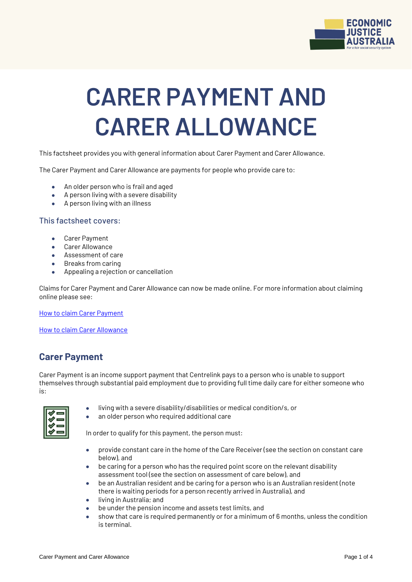

# **CARER PAYMENT AND CARER ALLOWANCE**

This factsheet provides you with general information about Carer Payment and Carer Allowance.

The Carer Payment and Carer Allowance are payments for people who provide care to:

- An older person who is frail and aged
- A person living with a severe disability
- A person living with an illness

#### This factsheet covers:

- Carer Payment
- Carer Allowance
- **Assessment of care**
- Breaks from caring
- Appealing a rejection or cancellation

Claims for Carer Payment and Carer Allowance can now be made online. For more information about claiming online please see:

[How to claim Carer Payment](https://www.servicesaustralia.gov.au/individuals/services/centrelink/carer-payment/how-claim)

[How to claim Carer Allowance](https://www.servicesaustralia.gov.au/individuals/services/centrelink/carer-allowance/how-claim)

#### **Carer Payment**

Carer Payment is an income support payment that Centrelink pays to a person who is unable to support themselves through substantial paid employment due to providing full time daily care for either someone who is:

- living with a severe disability/disabilities or medical condition/s, or
- an older person who required additional care

In order to qualify for this payment, the person must:

- provide constant care in the home of the Care Receiver (see the section on constant care below), and
- be caring for a person who has the required point score on the relevant disability assessment tool (see the section on assessment of care below), and
- be an Australian resident and be caring for a person who is an Australian resident (note there is waiting periods for a person recently arrived in Australia), and
- **•** living in Australia; and
- be under the pension income and assets test limits, and
- show that care is required permanently or for a minimum of 6 months, unless the condition is terminal.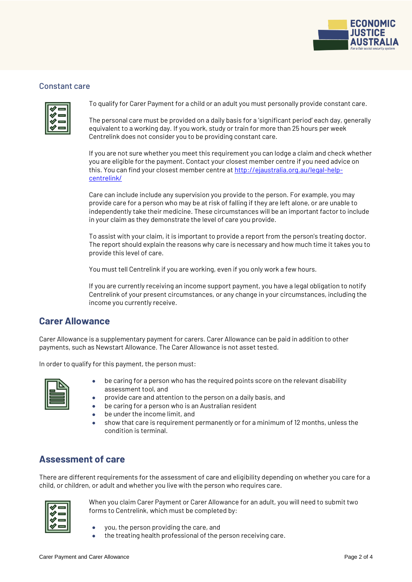

#### Constant care

To qualify for Carer Payment for a child or an adult you must personally provide constant care.

The personal care must be provided on a daily basis for a 'significant period' each day, generally equivalent to a working day. If you work, study or train for more than 25 hours per week Centrelink does not consider you to be providing constant care.

If you are not sure whether you meet this requirement you can lodge a claim and check whether you are eligible for the payment. Contact your closest member centre if you need advice on this. You can find your closest member centre at [http://ejaustralia.org.au/legal-help](http://ejaustralia.org.au/legal-help-centrelink/)[centrelink/](http://ejaustralia.org.au/legal-help-centrelink/)

Care can include include any supervision you provide to the person. For example, you may provide care for a person who may be at risk of falling if they are left alone, or are unable to independently take their medicine. These circumstances will be an important factor to include in your claim as they demonstrate the level of care you provide.

To assist with your claim, it is important to provide a report from the person's treating doctor. The report should explain the reasons why care is necessary and how much time it takes you to provide this level of care.

You must tell Centrelink if you are working, even if you only work a few hours.

If you are currently receiving an income support payment, you have a legal obligation to notify Centrelink of your present circumstances, or any change in your circumstances, including the income you currently receive.

#### **Carer Allowance**

Carer Allowance is a supplementary payment for carers. Carer Allowance can be paid in addition to other payments, such as Newstart Allowance. The Carer Allowance is not asset tested.

In order to qualify for this payment, the person must:

- be caring for a person who has the required points score on the relevant disability assessment tool, and
- provide care and attention to the person on a daily basis, and
- be caring for a person who is an Australian resident
- be under the income limit, and
- show that care is requirement permanently or for a minimum of 12 months, unless the condition is terminal.

## **Assessment of care**

There are different requirements for the assessment of care and eligibility depending on whether you care for a child, or children, or adult and whether you live with the person who requires care.



When you claim Carer Payment or Carer Allowance for an adult, you will need to submit two forms to Centrelink, which must be completed by:

- you, the person providing the care, and
- the treating health professional of the person receiving care.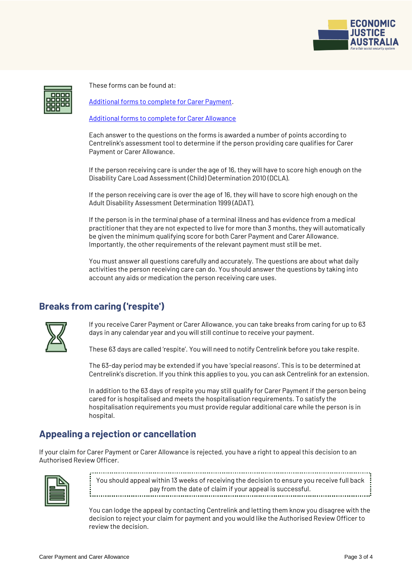

These forms can be found at:

[Additional forms to complete for Carer Payment.](https://www.servicesaustralia.gov.au/individuals/services/centrelink/carer-payment/how-claim/other-forms-you-may-need-complete)

[Additional forms to complete for Carer Allowance](https://www.servicesaustralia.gov.au/individuals/services/centrelink/carer-allowance/how-claim/other-forms-you-may-need-complete)

Each answer to the questions on the forms is awarded a number of points according to Centrelink's assessment tool to determine if the person providing care qualifies for Carer Payment or Carer Allowance.

If the person receiving care is under the age of 16, they will have to score high enough on the Disability Care Load Assessment (Child) Determination 2010 (DCLA).

If the person receiving care is over the age of 16, they will have to score high enough on the Adult Disability Assessment Determination 1999 (ADAT).

If the person is in the terminal phase of a terminal illness and has evidence from a medical practitioner that they are not expected to live for more than 3 months, they will automatically be given the minimum qualifying score for both Carer Payment and Carer Allowance. Importantly, the other requirements of the relevant payment must still be met.

You must answer all questions carefully and accurately. The questions are about what daily activities the person receiving care can do. You should answer the questions by taking into account any aids or medication the person receiving care uses.

# **Breaks from caring ('respite')**



If you receive Carer Payment or Carer Allowance, you can take breaks from caring for up to 63 days in any calendar year and you will still continue to receive your payment.

These 63 days are called 'respite'. You will need to notify Centrelink before you take respite.

The 63-day period may be extended if you have 'special reasons'. This is to be determined at Centrelink's discretion. If you think this applies to you, you can ask Centrelink for an extension.

In addition to the 63 days of respite you may still qualify for Carer Payment if the person being cared for is hospitalised and meets the hospitalisation requirements. To satisfy the hospitalisation requirements you must provide regular additional care while the person is in hospital.

## **Appealing a rejection or cancellation**

If your claim for Carer Payment or Carer Allowance is rejected, you have a right to appeal this decision to an Authorised Review Officer.



You should appeal within 13 weeks of receiving the decision to ensure you receive full back pay from the date of claim if your appeal is successful.

You can lodge the appeal by contacting Centrelink and letting them know you disagree with the decision to reject your claim for payment and you would like the Authorised Review Officer to review the decision.